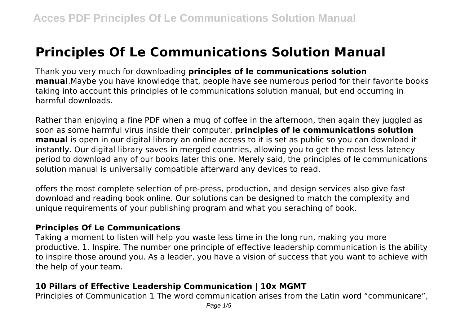# **Principles Of Le Communications Solution Manual**

Thank you very much for downloading **principles of le communications solution manual**.Maybe you have knowledge that, people have see numerous period for their favorite books taking into account this principles of le communications solution manual, but end occurring in harmful downloads.

Rather than enjoying a fine PDF when a mug of coffee in the afternoon, then again they juggled as soon as some harmful virus inside their computer. **principles of le communications solution manual** is open in our digital library an online access to it is set as public so you can download it instantly. Our digital library saves in merged countries, allowing you to get the most less latency period to download any of our books later this one. Merely said, the principles of le communications solution manual is universally compatible afterward any devices to read.

offers the most complete selection of pre-press, production, and design services also give fast download and reading book online. Our solutions can be designed to match the complexity and unique requirements of your publishing program and what you seraching of book.

#### **Principles Of Le Communications**

Taking a moment to listen will help you waste less time in the long run, making you more productive. 1. Inspire. The number one principle of effective leadership communication is the ability to inspire those around you. As a leader, you have a vision of success that you want to achieve with the help of your team.

### **10 Pillars of Effective Leadership Communication | 10x MGMT**

Principles of Communication 1 The word communication arises from the Latin word "commūnicāre",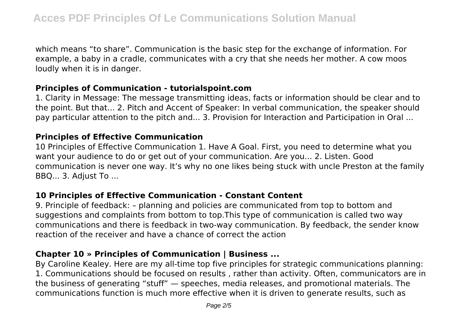which means "to share". Communication is the basic step for the exchange of information. For example, a baby in a cradle, communicates with a cry that she needs her mother. A cow moos loudly when it is in danger.

#### **Principles of Communication - tutorialspoint.com**

1. Clarity in Message: The message transmitting ideas, facts or information should be clear and to the point. But that... 2. Pitch and Accent of Speaker: In verbal communication, the speaker should pay particular attention to the pitch and... 3. Provision for Interaction and Participation in Oral ...

#### **Principles of Effective Communication**

10 Principles of Effective Communication 1. Have A Goal. First, you need to determine what you want your audience to do or get out of your communication. Are you... 2. Listen. Good communication is never one way. It's why no one likes being stuck with uncle Preston at the family BBQ... 3. Adjust To ...

## **10 Principles of Effective Communication - Constant Content**

9. Principle of feedback: – planning and policies are communicated from top to bottom and suggestions and complaints from bottom to top.This type of communication is called two way communications and there is feedback in two-way communication. By feedback, the sender know reaction of the receiver and have a chance of correct the action

# **Chapter 10 » Principles of Communication | Business ...**

By Caroline Kealey. Here are my all-time top five principles for strategic communications planning: 1. Communications should be focused on results , rather than activity. Often, communicators are in the business of generating "stuff" — speeches, media releases, and promotional materials. The communications function is much more effective when it is driven to generate results, such as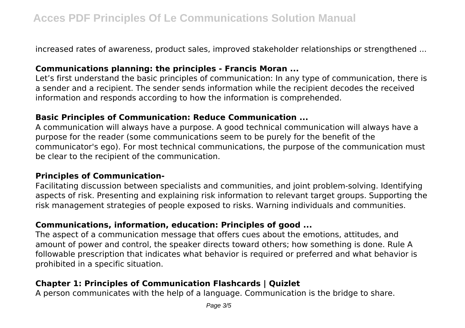increased rates of awareness, product sales, improved stakeholder relationships or strengthened ...

## **Communications planning: the principles - Francis Moran ...**

Let's first understand the basic principles of communication: In any type of communication, there is a sender and a recipient. The sender sends information while the recipient decodes the received information and responds according to how the information is comprehended.

## **Basic Principles of Communication: Reduce Communication ...**

A communication will always have a purpose. A good technical communication will always have a purpose for the reader (some communications seem to be purely for the benefit of the communicator's ego). For most technical communications, the purpose of the communication must be clear to the recipient of the communication.

## **Principles of Communication-**

Facilitating discussion between specialists and communities, and joint problem-solving. Identifying aspects of risk. Presenting and explaining risk information to relevant target groups. Supporting the risk management strategies of people exposed to risks. Warning individuals and communities.

# **Communications, information, education: Principles of good ...**

The aspect of a communication message that offers cues about the emotions, attitudes, and amount of power and control, the speaker directs toward others; how something is done. Rule A followable prescription that indicates what behavior is required or preferred and what behavior is prohibited in a specific situation.

# **Chapter 1: Principles of Communication Flashcards | Quizlet**

A person communicates with the help of a language. Communication is the bridge to share.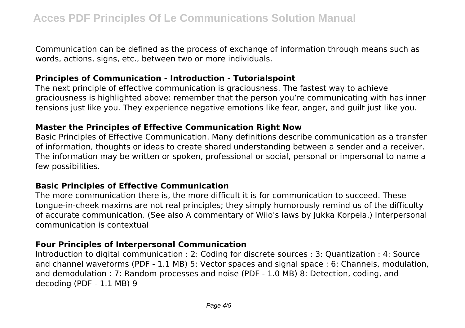Communication can be defined as the process of exchange of information through means such as words, actions, signs, etc., between two or more individuals.

## **Principles of Communication - Introduction - Tutorialspoint**

The next principle of effective communication is graciousness. The fastest way to achieve graciousness is highlighted above: remember that the person you're communicating with has inner tensions just like you. They experience negative emotions like fear, anger, and guilt just like you.

## **Master the Principles of Effective Communication Right Now**

Basic Principles of Effective Communication. Many definitions describe communication as a transfer of information, thoughts or ideas to create shared understanding between a sender and a receiver. The information may be written or spoken, professional or social, personal or impersonal to name a few possibilities.

## **Basic Principles of Effective Communication**

The more communication there is, the more difficult it is for communication to succeed. These tongue-in-cheek maxims are not real principles; they simply humorously remind us of the difficulty of accurate communication. (See also A commentary of Wiio's laws by Jukka Korpela.) Interpersonal communication is contextual

## **Four Principles of Interpersonal Communication**

Introduction to digital communication : 2: Coding for discrete sources : 3: Quantization : 4: Source and channel waveforms (PDF - 1.1 MB) 5: Vector spaces and signal space : 6: Channels, modulation, and demodulation : 7: Random processes and noise (PDF - 1.0 MB) 8: Detection, coding, and decoding (PDF - 1.1 MB) 9